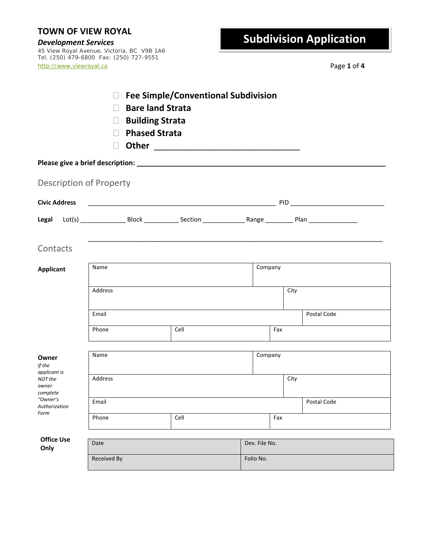*Development Services* 45 View Royal Avenue, Victoria, BC V9B 1A6 Tel. (250) 479-6800 Fax: (250) 727-9551 http://www.viewroyal.ca Page **1** of **4**

# **Subdivision Application**

|                                                                                                      |         | <b>Bare land Strata</b><br><b>Building Strata</b><br><b>Phased Strata</b> | <b>Fee Simple/Conventional Subdivision</b> |  |               |     |      |             |  |
|------------------------------------------------------------------------------------------------------|---------|---------------------------------------------------------------------------|--------------------------------------------|--|---------------|-----|------|-------------|--|
|                                                                                                      |         |                                                                           |                                            |  |               |     |      |             |  |
| <b>Description of Property</b>                                                                       |         |                                                                           |                                            |  |               |     |      |             |  |
| <b>Civic Address</b>                                                                                 |         |                                                                           |                                            |  |               |     |      |             |  |
|                                                                                                      |         |                                                                           |                                            |  |               |     |      |             |  |
| Contacts                                                                                             |         |                                                                           |                                            |  |               |     |      |             |  |
| <b>Applicant</b>                                                                                     | Name    |                                                                           |                                            |  | Company       |     |      |             |  |
|                                                                                                      | Address |                                                                           |                                            |  |               |     | City |             |  |
|                                                                                                      | Email   |                                                                           |                                            |  |               |     |      | Postal Code |  |
|                                                                                                      | Phone   |                                                                           | Cell                                       |  | Fax           |     |      |             |  |
| Owner<br>If the<br>applicant is<br>NOT the<br>owner<br>complete<br>"Owner's<br>Authorization<br>Form | Name    |                                                                           |                                            |  | Company       |     |      |             |  |
|                                                                                                      | Address |                                                                           |                                            |  |               |     | City |             |  |
|                                                                                                      | Email   |                                                                           |                                            |  |               |     |      | Postal Code |  |
|                                                                                                      | Phone   |                                                                           | Cell                                       |  |               | Fax |      |             |  |
| <b>Office Use</b><br>Only                                                                            | Date    |                                                                           |                                            |  | Dev. File No. |     |      |             |  |
|                                                                                                      |         | Received By                                                               |                                            |  | Folio No.     |     |      |             |  |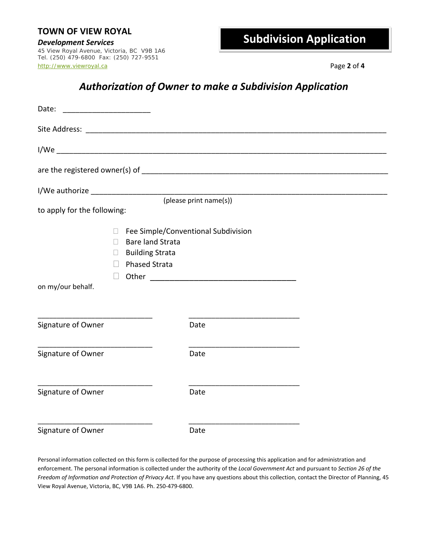*Development Services* 45 View Royal Avenue, Victoria, BC V9B 1A6 Tel. (250) 479-6800 Fax: (250) 727-9551 http://www.viewroyal.ca Page **2** of **4**

# **Subdivision Application**

### *Authorization of Owner to make a Subdivision Application*

| Date:                                                 |                                                                                                                  |      |  |  |  |  |  |  |  |  |
|-------------------------------------------------------|------------------------------------------------------------------------------------------------------------------|------|--|--|--|--|--|--|--|--|
|                                                       |                                                                                                                  |      |  |  |  |  |  |  |  |  |
|                                                       |                                                                                                                  |      |  |  |  |  |  |  |  |  |
|                                                       |                                                                                                                  |      |  |  |  |  |  |  |  |  |
|                                                       |                                                                                                                  |      |  |  |  |  |  |  |  |  |
| (please print name(s))<br>to apply for the following: |                                                                                                                  |      |  |  |  |  |  |  |  |  |
|                                                       | Fee Simple/Conventional Subdivision<br><b>Bare land Strata</b><br><b>Building Strata</b><br><b>Phased Strata</b> |      |  |  |  |  |  |  |  |  |
| on my/our behalf.                                     |                                                                                                                  |      |  |  |  |  |  |  |  |  |
| Signature of Owner                                    |                                                                                                                  | Date |  |  |  |  |  |  |  |  |
| Signature of Owner                                    |                                                                                                                  | Date |  |  |  |  |  |  |  |  |
| Signature of Owner                                    |                                                                                                                  | Date |  |  |  |  |  |  |  |  |
| Signature of Owner                                    |                                                                                                                  | Date |  |  |  |  |  |  |  |  |

Personal information collected on this form is collected for the purpose of processing this application and for administration and enforcement. The personal information is collected under the authority of the *Local Government Act* and pursuant to *Section 26 of the Freedom of Information and Protection of Privacy Act*. If you have any questions about this collection, contact the Director of Planning, 45 View Royal Avenue, Victoria, BC, V9B 1A6. Ph. 250‐479‐6800.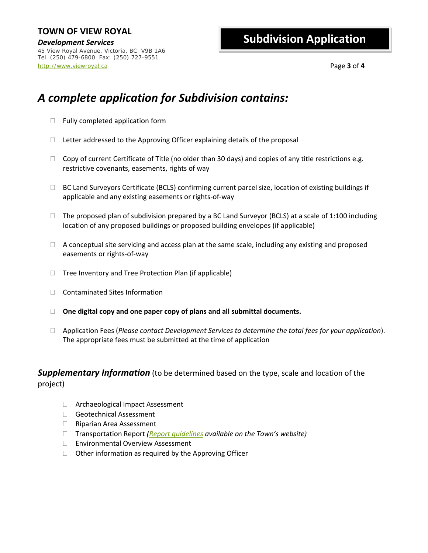*Development Services* 45 View Royal Avenue, Victoria, BC V9B 1A6 Tel. (250) 479-6800 Fax: (250) 727-9551 http://www.viewroyal.ca Page **3** of **4**

## **Subdivision Application**

## *A complete application for Subdivision contains:*

- $\Box$  Fully completed application form
- $\Box$  Letter addressed to the Approving Officer explaining details of the proposal
- $\Box$  Copy of current Certificate of Title (no older than 30 days) and copies of any title restrictions e.g. restrictive covenants, easements, rights of way
- □ BC Land Surveyors Certificate (BCLS) confirming current parcel size, location of existing buildings if applicable and any existing easements or rights‐of‐way
- $\Box$  The proposed plan of subdivision prepared by a BC Land Surveyor (BCLS) at a scale of 1:100 including location of any proposed buildings or proposed building envelopes (if applicable)
- $\Box$  A conceptual site servicing and access plan at the same scale, including any existing and proposed easements or rights‐of‐way
- $\Box$  Tree Inventory and Tree Protection Plan (if applicable)
- □ Contaminated Sites Information
- **One digital copy and one paper copy of plans and all submittal documents.**
- Application Fees (*Please contact Development Services to determine the total fees for your application*). The appropriate fees must be submitted at the time of application

*Supplementary Information* (to be determined based on the type, scale and location of the project)

- □ Archaeological Impact Assessment
- Geotechnical Assessment
- □ Riparian Area Assessment
- □ Transportation Report *(Report quidelines available on the Town's website)*
- □ Environmental Overview Assessment
- $\Box$  Other information as required by the Approving Officer